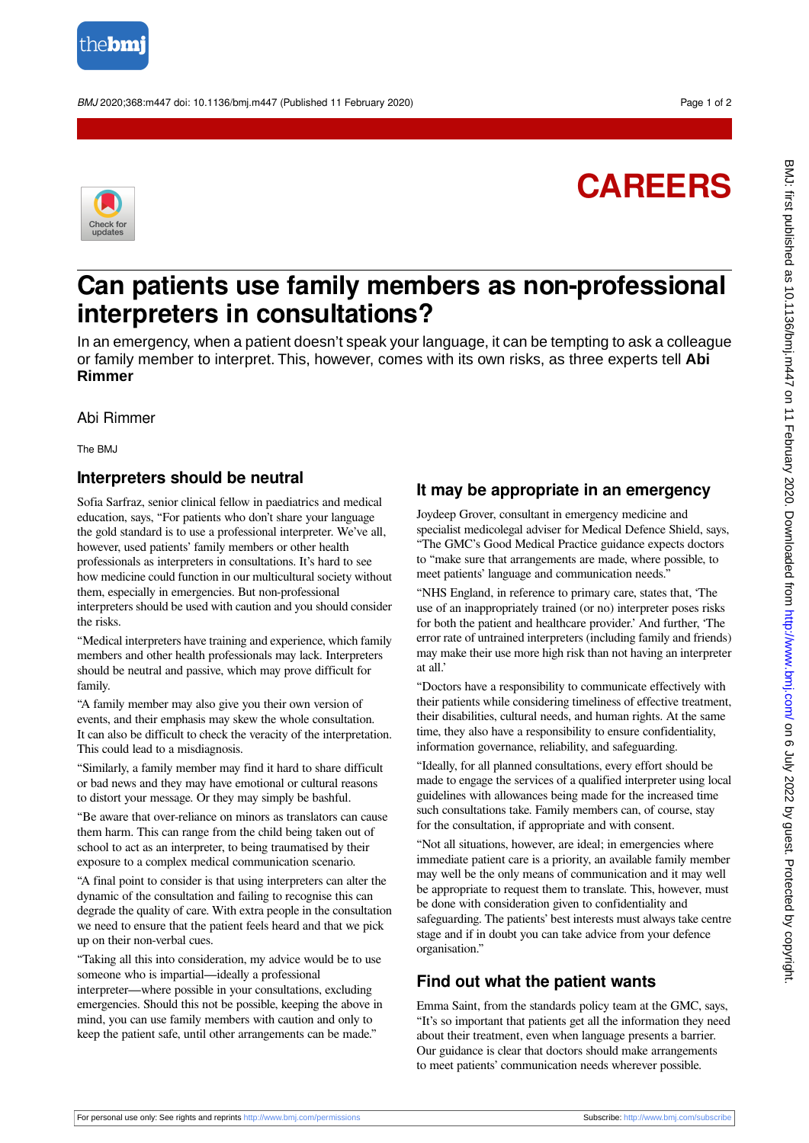

BMJ 2020;368:m447 doi: 10.1136/bmj.m447 (Published 11 February 2020) Page 1 of 2





## **Can patients use family members as non-professional interpreters in consultations?**

In an emergency, when a patient doesn't speak your language, it can be tempting to ask a colleague or family member to interpret. This, however, comes with its own risks, as three experts tell **Abi Rimmer**

Abi Rimmer

The BMJ

## **Interpreters should be neutral**

Sofia Sarfraz, senior clinical fellow in paediatrics and medical education, says, "For patients who don't share your language the gold standard is to use a professional interpreter. We've all, however, used patients' family members or other health professionals as interpreters in consultations. It's hard to see how medicine could function in our multicultural society without them, especially in emergencies. But non-professional interpreters should be used with caution and you should consider the risks.

"Medical interpreters have training and experience, which family members and other health professionals may lack. Interpreters should be neutral and passive, which may prove difficult for family.

"A family member may also give you their own version of events, and their emphasis may skew the whole consultation. It can also be difficult to check the veracity of the interpretation. This could lead to a misdiagnosis.

"Similarly, a family member may find it hard to share difficult or bad news and they may have emotional or cultural reasons to distort your message. Or they may simply be bashful.

"Be aware that over-reliance on minors as translators can cause them harm. This can range from the child being taken out of school to act as an interpreter, to being traumatised by their exposure to a complex medical communication scenario.

"A final point to consider is that using interpreters can alter the dynamic of the consultation and failing to recognise this can degrade the quality of care. With extra people in the consultation we need to ensure that the patient feels heard and that we pick up on their non-verbal cues.

"Taking all this into consideration, my advice would be to use someone who is impartial—ideally a professional interpreter—where possible in your consultations, excluding emergencies. Should this not be possible, keeping the above in mind, you can use family members with caution and only to keep the patient safe, until other arrangements can be made."

## **It may be appropriate in an emergency**

Joydeep Grover, consultant in emergency medicine and specialist medicolegal adviser for Medical Defence Shield, says, "The GMC's Good Medical Practice guidance expects doctors to "make sure that arrangements are made, where possible, to meet patients' language and communication needs."

"NHS England, in reference to primary care, states that, 'The use of an inappropriately trained (or no) interpreter poses risks for both the patient and healthcare provider.' And further, 'The error rate of untrained interpreters (including family and friends) may make their use more high risk than not having an interpreter at all.'

"Doctors have a responsibility to communicate effectively with their patients while considering timeliness of effective treatment, their disabilities, cultural needs, and human rights. At the same time, they also have a responsibility to ensure confidentiality, information governance, reliability, and safeguarding.

"Ideally, for all planned consultations, every effort should be made to engage the services of a qualified interpreter using local guidelines with allowances being made for the increased time such consultations take. Family members can, of course, stay for the consultation, if appropriate and with consent.

"Not all situations, however, are ideal; in emergencies where immediate patient care is a priority, an available family member may well be the only means of communication and it may well be appropriate to request them to translate. This, however, must be done with consideration given to confidentiality and safeguarding. The patients' best interests must always take centre stage and if in doubt you can take advice from your defence organisation."

## **Find out what the patient wants**

Emma Saint, from the standards policy team at the GMC, says, "It's so important that patients get all the information they need about their treatment, even when language presents a barrier. Our guidance is clear that doctors should make arrangements to meet patients' communication needs wherever possible.